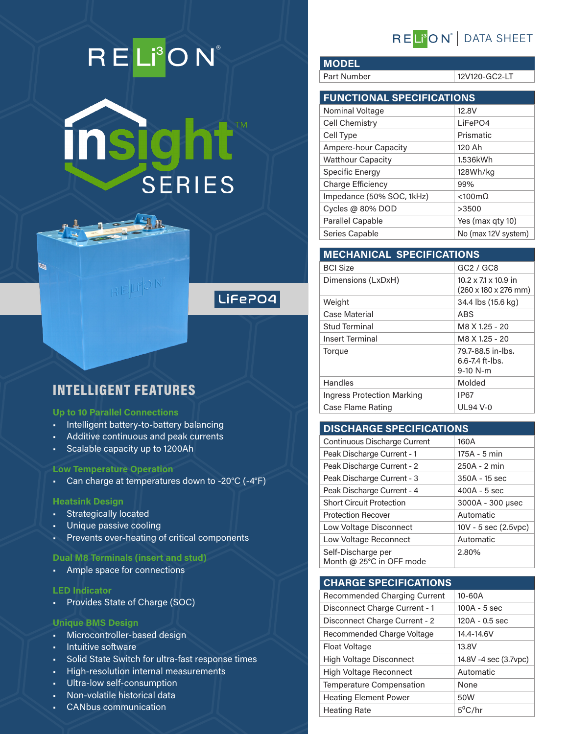# RELI<sup>3</sup>ON®





### INTELLIGENT FEATURES

#### **Up to 10 Parallel Connections**

- Intelligent battery-to-battery balancing
- Additive continuous and peak currents
- Scalable capacity up to 1200Ah

#### **Low Temperature Operation**

• Can charge at temperatures down to -20°C (-4°F)

#### **Heatsink Design**

Ø

- Strategically located
- Unique passive cooling
- Prevents over-heating of critical components

#### **Dual M8 Terminals (insert and stud)**

• Ample space for connections

#### **LED Indicator**

• Provides State of Charge (SOC)

#### **Unique BMS Design**

- Microcontroller-based design
- Intuitive software
- Solid State Switch for ultra-fast response times
- High-resolution internal measurements
- Ultra-low self-consumption
- Non-volatile historical data
- CANbus communication

## REL<sup>®</sup>ON<sup>®</sup> | DATA SHEET

**MODEL** Part Number 12V120-GC2-LT

| <b>FUNCTIONAL SPECIFICATIONS</b> |                        |  |  |
|----------------------------------|------------------------|--|--|
| Nominal Voltage                  | 12.8V                  |  |  |
| Cell Chemistry                   | LiFePO4                |  |  |
| Cell Type                        | Prismatic              |  |  |
| <b>Ampere-hour Capacity</b>      | 120 Ah                 |  |  |
| <b>Watthour Capacity</b>         | 1.536kWh               |  |  |
| Specific Energy                  | 128Wh/kg               |  |  |
| Charge Efficiency                | 99%                    |  |  |
| Impedance (50% SOC, 1kHz)        | $< 100 \text{m}\Omega$ |  |  |
| Cycles @ 80% DOD                 | >3500                  |  |  |
| <b>Parallel Capable</b>          | Yes (max gty 10)       |  |  |
| Series Capable                   | No (max 12V system)    |  |  |

#### **MECHANICAL SPECIFICATIONS**

| <b>BCI Size</b>            | GC2 / GC8                                                                   |  |  |
|----------------------------|-----------------------------------------------------------------------------|--|--|
| Dimensions (LxDxH)         | $10.2 \times 71 \times 10.9$ in<br>$(260 \times 180 \times 276 \text{ mm})$ |  |  |
| Weight                     | 34.4 lbs (15.6 kg)                                                          |  |  |
| Case Material              | ABS                                                                         |  |  |
| Stud Terminal              | M8 X 1.25 - 20                                                              |  |  |
| <b>Insert Terminal</b>     | M8 X 1.25 - 20                                                              |  |  |
| Torque                     | 79.7-88.5 in-lbs.<br>$6.6 - 7.4$ ft-lbs.<br>$9-10 N-m$                      |  |  |
| Handles                    | Molded                                                                      |  |  |
| Ingress Protection Marking | <b>IP67</b>                                                                 |  |  |
| Case Flame Rating          | <b>UL94 V-0</b>                                                             |  |  |

#### **DISCHARGE SPECIFICATIONS**

| Continuous Discharge Current                   | 160A                      |
|------------------------------------------------|---------------------------|
| Peak Discharge Current - 1                     | 175A - 5 min              |
| Peak Discharge Current - 2                     | 250A - 2 min              |
| Peak Discharge Current - 3                     | 350A - 15 sec             |
| Peak Discharge Current - 4                     | $400A - 5$ sec            |
| <b>Short Circuit Protection</b>                | 3000A - 300 µsec          |
| <b>Protection Recover</b>                      | Automatic                 |
| Low Voltage Disconnect                         | $10V - 5$ sec $(2.5$ vpc) |
| Low Voltage Reconnect                          | Automatic                 |
| Self-Discharge per<br>Month @ 25°C in OFF mode | 2.80%                     |

#### **CHARGE SPECIFICATIONS**

| <b>Recommended Charging Current</b> | $10 - 60A$            |
|-------------------------------------|-----------------------|
| Disconnect Charge Current - 1       | $100A - 5$ sec        |
| Disconnect Charge Current - 2       | 120A - 0.5 sec        |
| Recommended Charge Voltage          | 14.4-14.6V            |
| Float Voltage                       | 13.8V                 |
| <b>High Voltage Disconnect</b>      | 14.8V -4 sec (3.7vpc) |
| <b>High Voltage Reconnect</b>       | Automatic             |
| Temperature Compensation            | <b>None</b>           |
| <b>Heating Element Power</b>        | 50W                   |
| <b>Heating Rate</b>                 | $5^{\circ}$ C/hr      |